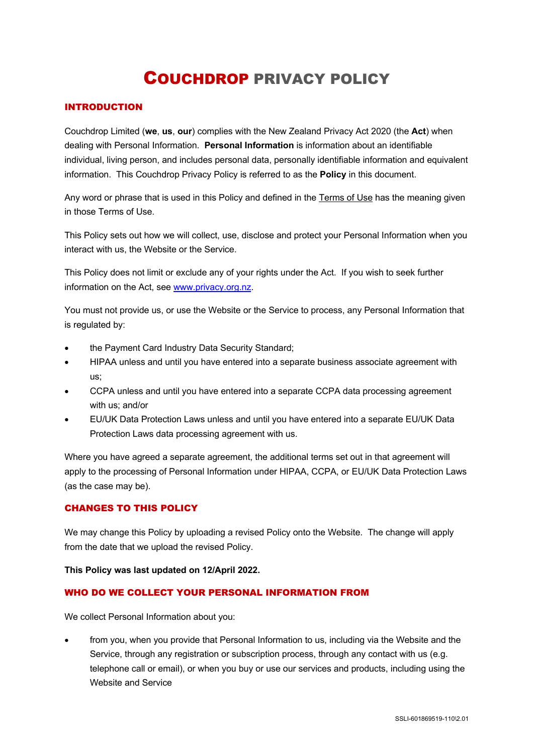# COUCHDROP PRIVACY POLICY

## INTRODUCTION

Couchdrop Limited (**we**, **us**, **our**) complies with the New Zealand Privacy Act 2020 (the **Act**) when dealing with Personal Information. **Personal Information** is information about an identifiable individual, living person, and includes personal data, personally identifiable information and equivalent information. This Couchdrop Privacy Policy is referred to as the **Policy** in this document.

Any word or phrase that is used in this Policy and defined in the Terms of Use has the meaning given in those Terms of Use.

This Policy sets out how we will collect, use, disclose and protect your Personal Information when you interact with us, the Website or the Service.

This Policy does not limit or exclude any of your rights under the Act. If you wish to seek further information on the Act, see www.privacy.org.nz.

You must not provide us, or use the Website or the Service to process, any Personal Information that is regulated by:

- the Payment Card Industry Data Security Standard;
- HIPAA unless and until you have entered into a separate business associate agreement with us;
- CCPA unless and until you have entered into a separate CCPA data processing agreement with us; and/or
- EU/UK Data Protection Laws unless and until you have entered into a separate EU/UK Data Protection Laws data processing agreement with us.

Where you have agreed a separate agreement, the additional terms set out in that agreement will apply to the processing of Personal Information under HIPAA, CCPA, or EU/UK Data Protection Laws (as the case may be).

#### CHANGES TO THIS POLICY

We may change this Policy by uploading a revised Policy onto the Website. The change will apply from the date that we upload the revised Policy.

#### **This Policy was last updated on 12/April 2022.**

#### WHO DO WE COLLECT YOUR PERSONAL INFORMATION FROM

We collect Personal Information about you:

• from you, when you provide that Personal Information to us, including via the Website and the Service, through any registration or subscription process, through any contact with us (e.g. telephone call or email), or when you buy or use our services and products, including using the Website and Service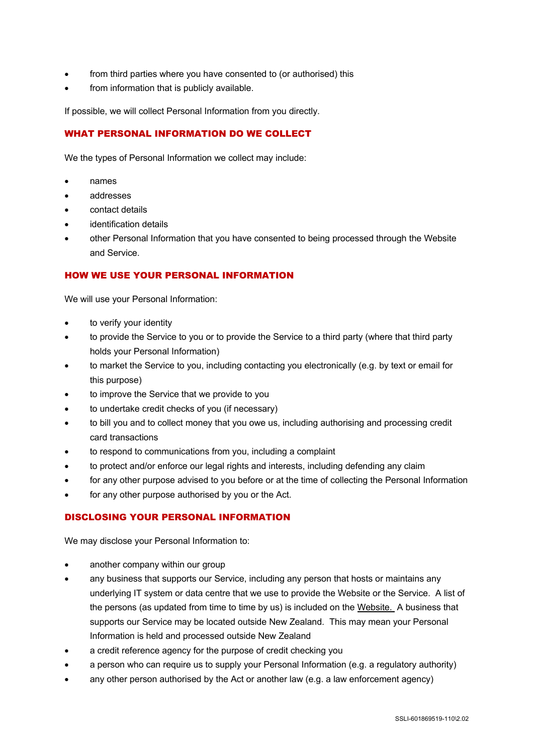- from third parties where you have consented to (or authorised) this
- from information that is publicly available.

If possible, we will collect Personal Information from you directly.

## WHAT PERSONAL INFORMATION DO WE COLLECT

We the types of Personal Information we collect may include:

- names
- addresses
- contact details
- identification details
- other Personal Information that you have consented to being processed through the Website and Service.

## HOW WE USE YOUR PERSONAL INFORMATION

We will use your Personal Information:

- to verify your identity
- to provide the Service to you or to provide the Service to a third party (where that third party holds your Personal Information)
- to market the Service to you, including contacting you electronically (e.g. by text or email for this purpose)
- to improve the Service that we provide to you
- to undertake credit checks of you (if necessary)
- to bill you and to collect money that you owe us, including authorising and processing credit card transactions
- to respond to communications from you, including a complaint
- to protect and/or enforce our legal rights and interests, including defending any claim
- for any other purpose advised to you before or at the time of collecting the Personal Information
- for any other purpose authorised by you or the Act.

#### DISCLOSING YOUR PERSONAL INFORMATION

We may disclose your Personal Information to:

- another company within our group
- any business that supports our Service, including any person that hosts or maintains any underlying IT system or data centre that we use to provide the Website or the Service. A list of the persons (as updated from time to time by us) is included on the Website. A business that supports our Service may be located outside New Zealand. This may mean your Personal Information is held and processed outside New Zealand
- a credit reference agency for the purpose of credit checking you
- a person who can require us to supply your Personal Information (e.g. a regulatory authority)
- any other person authorised by the Act or another law (e.g. a law enforcement agency)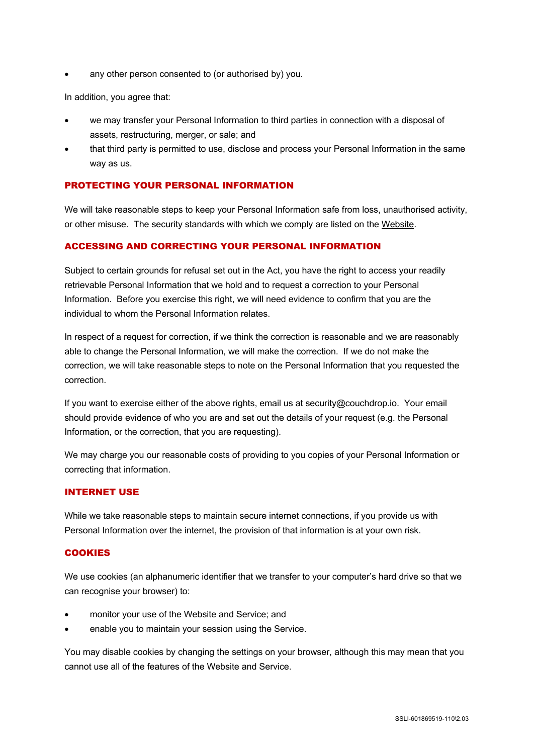any other person consented to (or authorised by) you.

In addition, you agree that:

- we may transfer your Personal Information to third parties in connection with a disposal of assets, restructuring, merger, or sale; and
- that third party is permitted to use, disclose and process your Personal Information in the same way as us.

## PROTECTING YOUR PERSONAL INFORMATION

We will take reasonable steps to keep your Personal Information safe from loss, unauthorised activity, or other misuse. The security standards with which we comply are listed on the Website.

#### ACCESSING AND CORRECTING YOUR PERSONAL INFORMATION

Subject to certain grounds for refusal set out in the Act, you have the right to access your readily retrievable Personal Information that we hold and to request a correction to your Personal Information. Before you exercise this right, we will need evidence to confirm that you are the individual to whom the Personal Information relates.

In respect of a request for correction, if we think the correction is reasonable and we are reasonably able to change the Personal Information, we will make the correction. If we do not make the correction, we will take reasonable steps to note on the Personal Information that you requested the correction.

If you want to exercise either of the above rights, email us at security@couchdrop.io. Your email should provide evidence of who you are and set out the details of your request (e.g. the Personal Information, or the correction, that you are requesting).

We may charge you our reasonable costs of providing to you copies of your Personal Information or correcting that information.

#### INTERNET USE

While we take reasonable steps to maintain secure internet connections, if you provide us with Personal Information over the internet, the provision of that information is at your own risk.

#### **COOKIES**

We use cookies (an alphanumeric identifier that we transfer to your computer's hard drive so that we can recognise your browser) to:

- monitor your use of the Website and Service; and
- enable you to maintain your session using the Service.

You may disable cookies by changing the settings on your browser, although this may mean that you cannot use all of the features of the Website and Service.